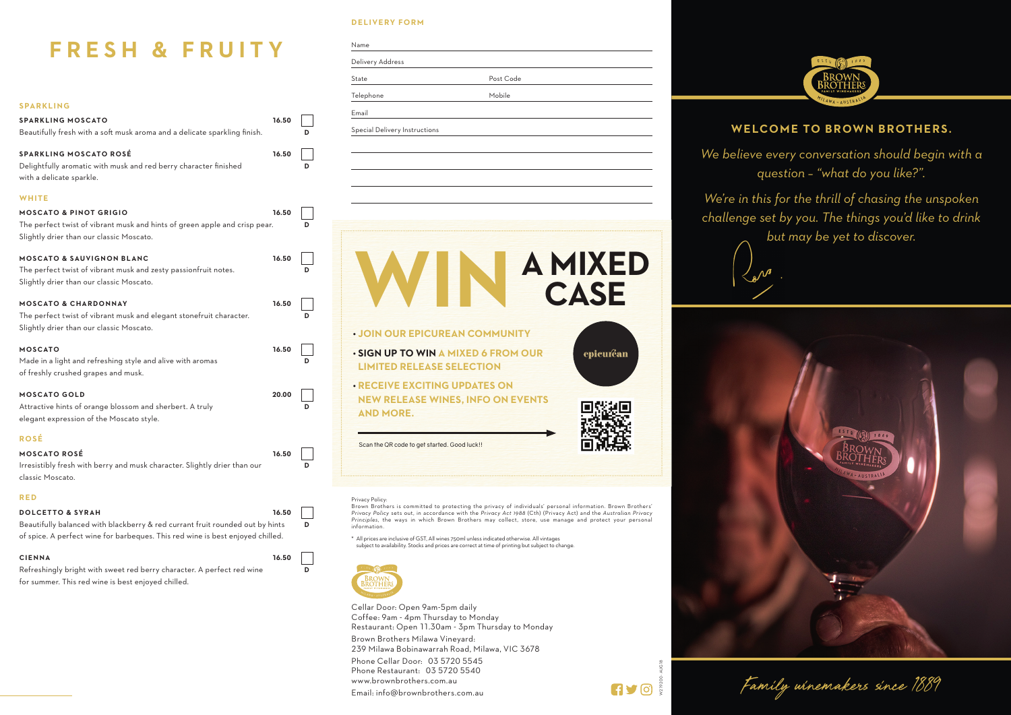W219200 - AUG18

**HYOR** 





## **WELCOME TO BROWN BROTHERS.**

### **DELIVERY FORM**

Name

Delivery Address

|                                                                                                                                                                                                |       |   | State                                                                                         | Post Code                                                                                                                                                                                                                                                                                                                                                                                                                                                                                                                                   |                        |
|------------------------------------------------------------------------------------------------------------------------------------------------------------------------------------------------|-------|---|-----------------------------------------------------------------------------------------------|---------------------------------------------------------------------------------------------------------------------------------------------------------------------------------------------------------------------------------------------------------------------------------------------------------------------------------------------------------------------------------------------------------------------------------------------------------------------------------------------------------------------------------------------|------------------------|
|                                                                                                                                                                                                |       |   | Telephone                                                                                     | Mobile                                                                                                                                                                                                                                                                                                                                                                                                                                                                                                                                      |                        |
| <b>SPARKLING</b>                                                                                                                                                                               |       |   | Email                                                                                         |                                                                                                                                                                                                                                                                                                                                                                                                                                                                                                                                             |                        |
| <b>SPARKLING MOSCATO</b><br>Beautifully fresh with a soft musk aroma and a delicate sparkling finish.                                                                                          | 16.50 | D | Special Delivery Instructions                                                                 |                                                                                                                                                                                                                                                                                                                                                                                                                                                                                                                                             |                        |
| <b>SPARKLING MOSCATO ROSÉ</b><br>Delightfully aromatic with musk and red berry character finished<br>with a delicate sparkle.                                                                  | 16.50 | D |                                                                                               |                                                                                                                                                                                                                                                                                                                                                                                                                                                                                                                                             |                        |
| <b>WHITE</b>                                                                                                                                                                                   |       |   |                                                                                               |                                                                                                                                                                                                                                                                                                                                                                                                                                                                                                                                             |                        |
| <b>MOSCATO &amp; PINOT GRIGIO</b><br>The perfect twist of vibrant musk and hints of green apple and crisp pear.<br>Slightly drier than our classic Moscato.                                    | 16.50 | D |                                                                                               |                                                                                                                                                                                                                                                                                                                                                                                                                                                                                                                                             |                        |
| <b>MOSCATO &amp; SAUVIGNON BLANC</b><br>The perfect twist of vibrant musk and zesty passionfruit notes.<br>Slightly drier than our classic Moscato.                                            | 16.50 | D |                                                                                               |                                                                                                                                                                                                                                                                                                                                                                                                                                                                                                                                             | <b>A MIXED</b><br>CASE |
| <b>MOSCATO &amp; CHARDONNAY</b><br>The perfect twist of vibrant musk and elegant stonefruit character.<br>Slightly drier than our classic Moscato.                                             | 16.50 | D |                                                                                               | <b>. JOIN OUR EPICUREAN COMMUNITY</b>                                                                                                                                                                                                                                                                                                                                                                                                                                                                                                       |                        |
| <b>MOSCATO</b><br>Made in a light and refreshing style and alive with aromas<br>of freshly crushed grapes and musk.                                                                            | 16.50 | D | <b>LIMITED RELEASE SELECTION</b>                                                              | . SIGN UP TO WIN A MIXED 6 FROM OUR                                                                                                                                                                                                                                                                                                                                                                                                                                                                                                         | epicuréan              |
| <b>MOSCATO GOLD</b><br>Attractive hints of orange blossom and sherbert. A truly<br>elegant expression of the Moscato style.                                                                    | 20.00 |   | <b>AND MORE.</b>                                                                              | <b>. RECEIVE EXCITING UPDATES ON</b><br><b>NEW RELEASE WINES, INFO ON EVENTS</b>                                                                                                                                                                                                                                                                                                                                                                                                                                                            |                        |
| <b>ROSÉ</b>                                                                                                                                                                                    |       |   |                                                                                               |                                                                                                                                                                                                                                                                                                                                                                                                                                                                                                                                             |                        |
| <b>MOSCATO ROSÉ</b><br>Irresistibly fresh with berry and musk character. Slightly drier than our<br>classic Moscato.                                                                           | 16.50 | D | Scan the QR code to get started. Good luck!!                                                  |                                                                                                                                                                                                                                                                                                                                                                                                                                                                                                                                             |                        |
| <b>RED</b>                                                                                                                                                                                     |       |   | Privacy Policy:                                                                               |                                                                                                                                                                                                                                                                                                                                                                                                                                                                                                                                             |                        |
| <b>DOLCETTO &amp; SYRAH</b><br>Beautifully balanced with blackberry & red currant fruit rounded out by hints<br>of spice. A perfect wine for barbeques. This red wine is best enjoyed chilled. | 16.50 | D | information.                                                                                  | Brown Brothers is committed to protecting the privacy of individuals' personal information. Brown Brothers'<br>Privacy Policy sets out, in accordance with the Privacy Act 1988 (Cth) (Privacy Act) and the Australian Privacy<br>Principles, the ways in which Brown Brothers may collect, store, use manage and protect your personal<br>* All prices are inclusive of GST, All wines 750ml unless indicated otherwise. All vintages<br>subject to availability. Stocks and prices are correct at time of printing but subject to change. |                        |
| <b>CIENNA</b><br>Refreshingly bright with sweet red berry character. A perfect red wine<br>for summer. This red wine is best enjoyed chilled.                                                  | 16.50 | D | <b>BROWN</b><br>3ROTHER:                                                                      |                                                                                                                                                                                                                                                                                                                                                                                                                                                                                                                                             |                        |
|                                                                                                                                                                                                |       |   | Cellar Door: Open 9am-5pm daily<br>Coffee: 9am - 4pm Thursday to Monday                       | Restaurant: Open 11.30am - 3pm Thursday to Monday                                                                                                                                                                                                                                                                                                                                                                                                                                                                                           |                        |
|                                                                                                                                                                                                |       |   | Brown Brothers Milawa Vineyard:                                                               | 239 Milawa Bobinawarrah Road, Milawa, VIC 3678                                                                                                                                                                                                                                                                                                                                                                                                                                                                                              |                        |
|                                                                                                                                                                                                |       |   | Phone Cellar Door: 03 5720 5545<br>Phone Restaurant: 03 5720 5540<br>www.brownbrothers.com.au |                                                                                                                                                                                                                                                                                                                                                                                                                                                                                                                                             |                        |
|                                                                                                                                                                                                |       |   | Email: info@brownbrothers.com.au                                                              |                                                                                                                                                                                                                                                                                                                                                                                                                                                                                                                                             |                        |

# **FRESH & FRUITY**

*We believe every conversation should begin with a question – "what do you like?".* 

*We're in this for the thrill of chasing the unspoken challenge set by you. The things you'd like to drink but may be yet to discover.*



Family winemakers since 1889